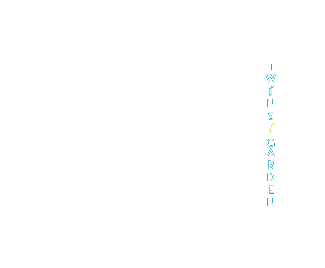$\overline{\mathbb{T}}$  $\mathbb{W}$  $\begin{bmatrix} 1 & 1 \\ 1 & 1 \end{bmatrix}$  $\sqrt{S}$  $\sqrt{}$  $\overline{\mathbb{G}}$  $\frac{1}{\sqrt{2}}$  $\mathbb{D}$  $\parallel \stackrel{=}{\equiv}$  $\mathbb{N}$